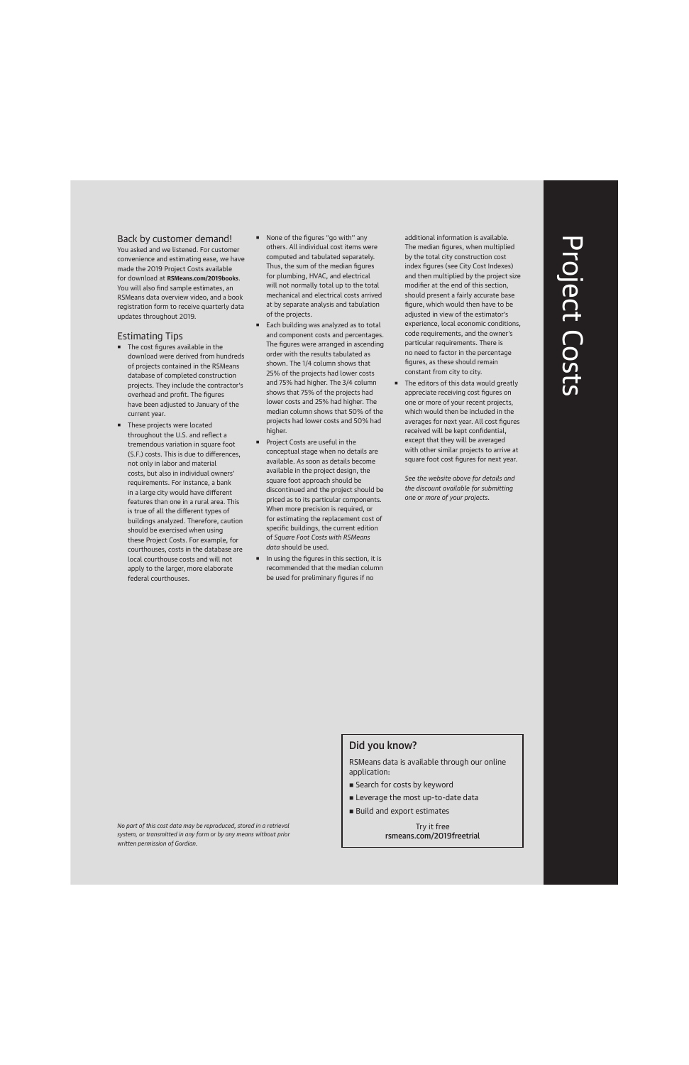## Project Costs Project Costs

## Back by customer demand!

You asked and we listened. For customer convenience and estimating ease, we have made the 2019 Project Costs available for download at **RSMeans.com/2019books**. You will also find sample estimates, an RSMeans data overview video, and a book registration form to receive quarterly data updates throughout 2019.

## Estimating Tips

- The cost figures available in the download were derived from hundreds of projects contained in the RSMeans database of completed construction projects. They include the contractor's overhead and profit. The figures have been adjusted to January of the current year.
- These projects were located throughout the U.S. and reflect a tremendous variation in square foot (S.F.) costs. This is due to differences, not only in labor and material costs, but also in individual owners' requirements. For instance, a bank in a large city would have different features than one in a rural area. This is true of all the different types of buildings analyzed. Therefore, caution should be exercised when using these Project Costs. For example, for courthouses, costs in the database are local courthouse costs and will not apply to the larger, more elaborate federal courthouses.
- None of the figures "go with" any others. All individual cost items were computed and tabulated separately. Thus, the sum of the median figures for plumbing, HVAC, and electrical will not normally total up to the total mechanical and electrical costs arrived at by separate analysis and tabulation of the projects.
- Each building was analyzed as to total and component costs and percentages. The figures were arranged in ascending order with the results tabulated as shown. The 1/4 column shows that 25% of the projects had lower costs and 75% had higher. The 3/4 column shows that 75% of the projects had lower costs and 25% had higher. The median column shows that 50% of the projects had lower costs and 50% had higher.
- Project Costs are useful in the conceptual stage when no details are available. As soon as details become available in the project design, the square foot approach should be discontinued and the project should be priced as to its particular components. When more precision is required, or for estimating the replacement cost of specific buildings, the current edition of Square Foot Costs with RSMeans data should be used.
- **IF IN** using the figures in this section, it is recommended that the median column be used for preliminary figures if no

additional information is available. The median figures, when multiplied by the total city construction cost index figures (see City Cost Indexes) and then multiplied by the project size modifier at the end of this section, should present a fairly accurate base figure, which would then have to be adjusted in view of the estimator's experience, local economic conditions, code requirements, and the owner's particular requirements. There is no need to factor in the percentage figures, as these should remain constant from city to city.

The editors of this data would greatly appreciate receiving cost figures on one or more of your recent projects, which would then be included in the averages for next year. All cost figures received will be kept confidential, except that they will be averaged with other similar projects to arrive at square foot cost figures for next year.

See the website above for details and the discount available for submitting one or more of your projects.

## Did you know?

RSMeans data is available through our online application:

- **Search for costs by keyword**
- **Exercise Exercise Leverage the most up-to-date data**
- **Build and export estimates**

Try it free rsmeans.com/2019freetrial

No part of this cost data may be reproduced, stored in a retrieval system, or transmitted in any form or by any means without prior written permission of Gordian.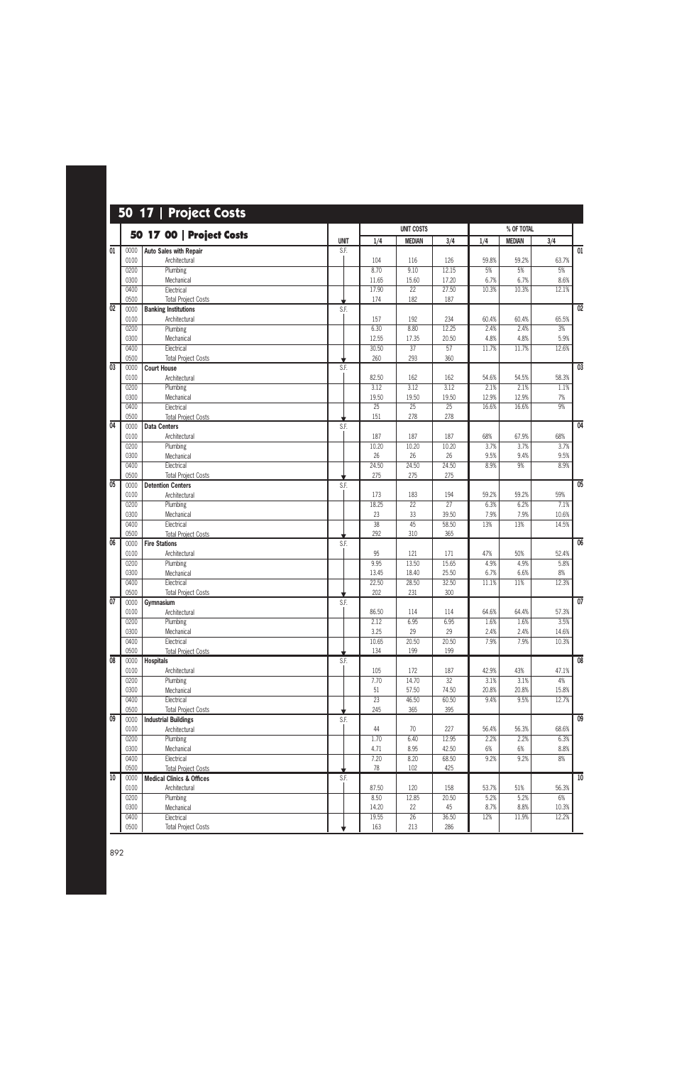|                 |              | 50 17   Project Costs                |             |                 | <b>UNIT COSTS</b>      |                        |               | % OF TOTAL    |                |                 |
|-----------------|--------------|--------------------------------------|-------------|-----------------|------------------------|------------------------|---------------|---------------|----------------|-----------------|
|                 |              | 50 17 00   Project Costs             | <b>UNIT</b> | 1/4             | <b>MEDIAN</b>          | 3/4                    | 1/4           | <b>MEDIAN</b> | 3/4            |                 |
| $\overline{01}$ | 0000<br>0100 | <b>Auto Sales with Repair</b>        | S.F.        |                 |                        | 126                    |               |               |                | 01              |
|                 | 0200         | Architectural<br>Plumbing            |             | 104<br>8.70     | 116<br>9.10            | 12.15                  | 59.8%<br>5%   | 59.2%<br>5%   | 63.7%<br>5%    |                 |
|                 | 0300         | Mechanical                           |             | 11.65           | 15.60                  | 17.20                  | 6.7%          | 6.7%          | 8.6%           |                 |
|                 | 0400         | Electrical                           |             | 17.90           | $\overline{22}$        | 27.50                  | 10.3%         | 10.3%         | 12.1%          |                 |
|                 | 0500         | <b>Total Project Costs</b>           |             | 174             | 182                    | 187                    |               |               |                |                 |
| $\overline{02}$ | 0000         | <b>Banking Institutions</b>          | S.F.        |                 |                        |                        |               |               |                | $\overline{02}$ |
|                 | 0100         | Architectural                        |             | 157             | 192                    | 234                    | 60.4%         | 60.4%         | 65.5%          |                 |
|                 | 0200         | Plumbing                             |             | 6.30            | 8.80                   | 12.25                  | 2.4%          | 2.4%          | 3%             |                 |
|                 | 0300         | Mechanical                           |             | 12.55           | 17.35                  | 20.50                  | 4.8%          | 4.8%          | 5.9%           |                 |
|                 | 0400         | Electrical                           |             | 30.50           | $\overline{37}$        | 57                     | 11.7%         | 11.7%         | 12.6%          |                 |
|                 | 0500         | <b>Total Project Costs</b>           |             | 260             | 293                    | 360                    |               |               |                |                 |
| $\overline{03}$ | 0000         | <b>Court House</b>                   | S.F.        |                 |                        |                        |               |               |                | $\overline{03}$ |
|                 | 0100         | Architectural                        |             | 82.50           | 162                    | 162                    | 54.6%         | 54.5%         | 58.3%          |                 |
|                 | 0200         | Plumbing                             |             | 3.12            | 3.12                   | 3.12                   | 2.1%          | 2.1%          | 1.1%           |                 |
|                 | 0300         | Mechanical                           |             | 19.50           | 19.50                  | 19.50                  | 12.9%         | 12.9%         | 7%             |                 |
|                 | 0400         | Electrical                           |             | $\overline{25}$ | 25                     | $\overline{25}$        | 16.6%         | 16.6%         | 9%             |                 |
|                 | 0500         | <b>Total Project Costs</b>           |             | 151             | 278                    | 278                    |               |               |                |                 |
| $\overline{04}$ | 0000         | <b>Data Centers</b>                  | S.F.        |                 |                        |                        |               |               |                | $\overline{04}$ |
|                 | 0100         | Architectural                        |             | 187             | 187                    | 187                    | 68%           | 67.9%         | 68%            |                 |
|                 | 0200         | Plumbing                             |             | 10.20           | 10.20                  | 10.20                  | 3.7%          | 3.7%          | 3.7%           |                 |
|                 | 0300         | Mechanical                           |             | 26              | 26                     | 26                     | 9.5%          | 9.4%          | 9.5%           |                 |
|                 | 0400         | Electrical                           |             | 24.50           | 24.50                  | 24.50                  | 8.9%          | 9%            | 8.9%           |                 |
| $\overline{05}$ | 0500         | <b>Total Project Costs</b>           |             | 275             | 275                    | 275                    |               |               |                | $\overline{05}$ |
|                 | 0000         | <b>Detention Centers</b>             | S.F.        |                 |                        |                        |               |               | 59%            |                 |
|                 | 0100<br>0200 | Architectural                        |             | 173<br>18.25    | 183<br>$\overline{22}$ | 194<br>$\overline{27}$ | 59.2%<br>6.3% | 59.2%<br>6.2% | 7.1%           |                 |
|                 | 0300         | Plumbing<br>Mechanical               |             | 23              | 33                     | 39.50                  | 7.9%          | 7.9%          | 10.6%          |                 |
|                 | 0400         | Electrical                           |             | $\overline{38}$ | $\overline{45}$        | 58.50                  | 13%           | 13%           | 14.5%          |                 |
|                 | 0500         | <b>Total Project Costs</b>           |             | 292             | 310                    | 365                    |               |               |                |                 |
| $\overline{06}$ | 0000         | <b>Fire Stations</b>                 | S.F.        |                 |                        |                        |               |               |                | $\overline{06}$ |
|                 | 0100         | Architectural                        |             | 95              | 121                    | 171                    | 47%           | 50%           | 52.4%          |                 |
|                 | 0200         | Plumbing                             |             | 9.95            | 13.50                  | 15.65                  | 4.9%          | 4.9%          | 5.8%           |                 |
|                 | 0300         | Mechanical                           |             | 13.45           | 18.40                  | 25.50                  | 6.7%          | 6.6%          | 8%             |                 |
|                 | 0400         | Electrical                           |             | 22.50           | 28.50                  | 32.50                  | 11.1%         | 11%           | 12.3%          |                 |
|                 | 0500         | <b>Total Project Costs</b>           |             | 202             | 231                    | 300                    |               |               |                |                 |
| $\overline{07}$ | 0000         | Gymnasium                            | S.F.        |                 |                        |                        |               |               |                | $\overline{07}$ |
|                 | 0100         | Architectural                        |             | 86.50           | 114                    | 114                    | 64.6%         | 64.4%         | 57.3%          |                 |
|                 | 0200         | Plumbing                             |             | 2.12            | 6.95                   | 6.95                   | 1.6%          | 1.6%          | 3.5%           |                 |
|                 | 0300         | Mechanical                           |             | 3.25            | 29                     | 29                     | 2.4%          | 2.4%          | 14.6%          |                 |
|                 | 0400         | Electrical                           |             | 10.65           | 20.50                  | 20.50                  | 7.9%          | 7.9%          | 10.3%          |                 |
|                 | 0500         | <b>Total Project Costs</b>           |             | 134             | 199                    | 199                    |               |               |                |                 |
| $\overline{08}$ | 0000         | <b>Hospitals</b>                     | S.F.        |                 |                        |                        |               |               |                | $\overline{08}$ |
|                 | 0100         | Architectural                        |             | 105             | 172                    | 187                    | 42.9%         | 43%           | 47.1%          |                 |
|                 | 0200         | Plumbing                             |             | 7.70            | 14.70                  | $\overline{32}$        | 3.1%          | 3.1%          | 4%             |                 |
|                 | 0300         | Mechanical                           |             | 51              | 57.50                  | 74.50                  | 20.8%         | 20.8%         | 15.8%          |                 |
|                 | 0400         | Electrical                           |             | $\overline{23}$ | 46.50                  | 60.50                  | 9.4%          | 9.5%          | 12.7%          |                 |
| $\overline{09}$ | 0500         | <b>Total Project Costs</b>           |             | 245             | 365                    | 395                    |               |               |                | $\overline{09}$ |
|                 | 0000         | <b>Industrial Buildings</b>          | S.F.        |                 |                        |                        |               |               |                |                 |
|                 | 0100<br>0200 | Architectural                        |             | 44<br>1.70      | 70<br>6.40             | 227<br>12.95           | 56.4%<br>2.2% | 56.3%<br>2.2% | 68.6%<br>6.3%  |                 |
|                 | 0300         | Plumbing                             |             | 4.71            | 8.95                   | 42.50                  |               | $6\%$         | 8.8%           |                 |
|                 | 0400         | Mechanical<br>Electrical             |             | 7.20            | 8.20                   | 68.50                  | 6%<br>9.2%    | 9.2%          | 8%             |                 |
|                 | 0500         | <b>Total Project Costs</b>           |             | 78              | 102                    | 425                    |               |               |                |                 |
| $\overline{10}$ | 0000         | <b>Medical Clinics &amp; Offices</b> | S.F.        |                 |                        |                        |               |               |                | $\overline{10}$ |
|                 |              | Architectural                        |             | 87.50           | 120                    | 158                    | 53.7%         | 51%           | 56.3%          |                 |
|                 |              |                                      |             |                 |                        |                        |               |               |                |                 |
|                 | 0100         |                                      |             |                 |                        |                        |               |               |                |                 |
|                 | 0200         | Plumbing                             |             | 8.50            | 12.85                  | 20.50                  | 5.2%          | 5.2%          | 6%             |                 |
|                 | 0300<br>0400 | Mechanical<br>Electrical             |             | 14.20<br>19.55  | 22<br>$\overline{26}$  | 45<br>36.50            | 8.7%<br>12%   | 8.8%<br>11.9% | 10.3%<br>12.2% |                 |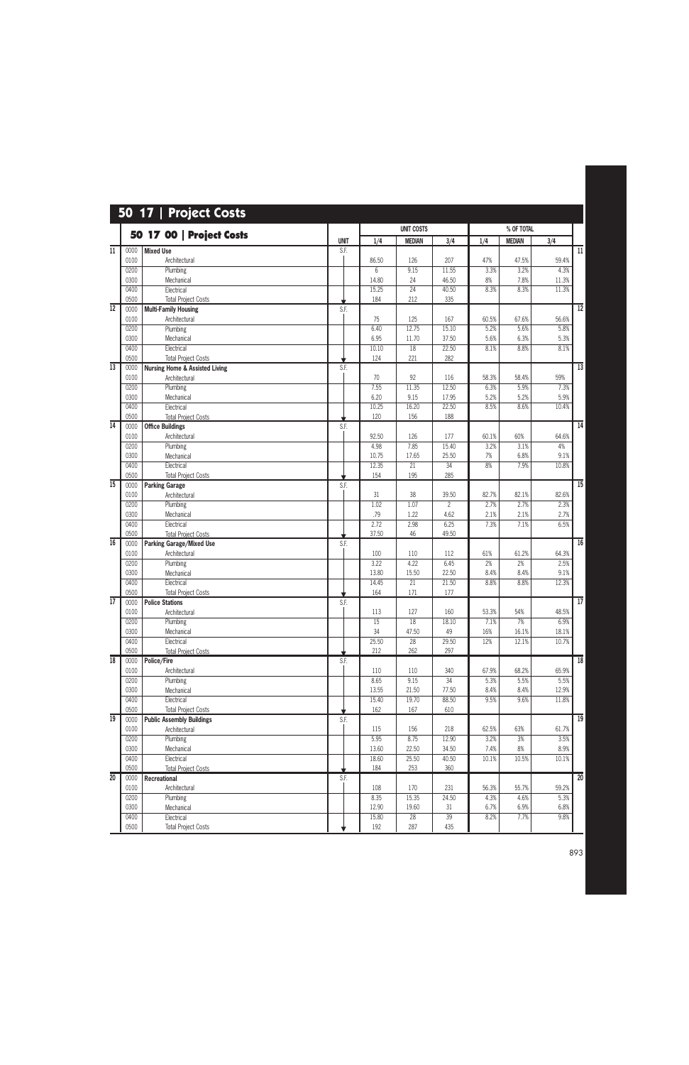|                                                                                                         |              | 50 17   Project Costs                      |             |              |                       |                        |               |               |               |                 |
|---------------------------------------------------------------------------------------------------------|--------------|--------------------------------------------|-------------|--------------|-----------------------|------------------------|---------------|---------------|---------------|-----------------|
|                                                                                                         |              |                                            |             |              | <b>UNIT COSTS</b>     |                        |               | % OF TOTAL    |               |                 |
|                                                                                                         |              | 50 17 00   Project Costs                   | <b>UNIT</b> | 1/4          | <b>MEDIAN</b>         | 3/4                    | 1/4           | <b>MEDIAN</b> | 3/4           |                 |
| 11<br>$\overline{12}$<br>$\overline{13}$<br>$\overline{14}$<br>15<br>$\overline{16}$<br>$\overline{17}$ | 0000         | <b>Mixed Use</b>                           | S.F.        |              |                       |                        |               |               |               | $\overline{11}$ |
|                                                                                                         | 0100         | Architectural                              |             | 86.50        | 126                   | 207                    | 47%           | 47.5%         | 59.4%         |                 |
|                                                                                                         | 0200         | Plumbing                                   |             | 6            | 9.15                  | 11.55                  | 3.3%          | 3.2%          | 4.3%          |                 |
|                                                                                                         | 0300         | Mechanical                                 |             | 14.80        | 24<br>$\overline{24}$ | 46.50                  | 8%            | 7.8%          | 11.3%         |                 |
|                                                                                                         | 0400<br>0500 | Electrical<br><b>Total Project Costs</b>   |             | 15.25<br>184 | 212                   | 40.50<br>335           | 8.3%          | 8.3%          | 11.3%         |                 |
|                                                                                                         | 0000         | <b>Multi-Family Housing</b>                | S.F.        |              |                       |                        |               |               |               | $\overline{12}$ |
|                                                                                                         | 0100         | Architectural                              |             | 75           | 125                   | 167                    | 60.5%         | 67.6%         | 56.6%         |                 |
|                                                                                                         | 0200         | Plumbing                                   |             | 6.40         | 12.75                 | 15.10                  | 5.2%          | 5.6%          | 5.8%          |                 |
|                                                                                                         | 0300         | Mechanical                                 |             | 6.95         | 11.70                 | 37.50                  | 5.6%          | 6.3%          | 5.3%          |                 |
|                                                                                                         | 0400         | Electrical                                 |             | 10.10        | $\overline{18}$       | 22.50                  | 8.1%          | 8.8%          | 8.1%          |                 |
|                                                                                                         | 0500         | <b>Total Project Costs</b>                 |             | 124          | 221                   | 282                    |               |               |               |                 |
|                                                                                                         | 0000         | <b>Nursing Home &amp; Assisted Living</b>  | S.F.        |              |                       |                        |               |               |               | $\overline{13}$ |
|                                                                                                         | 0100         | Architectural                              |             | 70           | 92                    | 116                    | 58.3%         | 58.4%         | 59%           |                 |
|                                                                                                         | 0200<br>0300 | Plumbing<br>Mechanical                     |             | 7.55<br>6.20 | 11.35<br>9.15         | 12.50<br>17.95         | 6.3%<br>5.2%  | 5.9%<br>5.2%  | 7.3%<br>5.9%  |                 |
|                                                                                                         | 0400         | Electrical                                 |             | 10.25        | 16.20                 | 22.50                  | 8.5%          | 8.6%          | 10.4%         |                 |
|                                                                                                         | 0500         | <b>Total Project Costs</b>                 |             | 120          | 156                   | 188                    |               |               |               |                 |
|                                                                                                         | 0000         | <b>Office Buildings</b>                    | S.F.        |              |                       |                        |               |               |               | $\overline{14}$ |
|                                                                                                         | 0100         | Architectural                              |             | 92.50        | 126                   | 177                    | 60.1%         | 60%           | 64.6%         |                 |
|                                                                                                         | 0200         | Plumbing                                   |             | 4.98         | 7.85                  | 15.40                  | 3.2%          | 3.1%          | 4%            |                 |
|                                                                                                         | 0300         | Mechanical                                 |             | 10.75        | 17.65                 | 25.50                  | 7%            | 6.8%          | 9.1%          |                 |
|                                                                                                         | 0400         | Electrical                                 |             | 12.35        | 21                    | $\overline{34}$        | 8%            | 7.9%          | 10.8%         |                 |
|                                                                                                         | 0500         | <b>Total Project Costs</b>                 |             | 154          | 195                   | 285                    |               |               |               | $\overline{15}$ |
|                                                                                                         | 0000<br>0100 | <b>Parking Garage</b><br>Architectural     | S.F.        | 31           | 38                    | 39.50                  | 82.7%         | 82.1%         | 82.6%         |                 |
|                                                                                                         | 0200         | Plumbing                                   |             | 1.02         | 1.07                  | $\overline{c}$         | 2.7%          | 2.7%          | 2.3%          |                 |
|                                                                                                         | 0300         | Mechanical                                 |             | .79          | 1.22                  | 4.62                   | 2.1%          | 2.1%          | 2.7%          |                 |
|                                                                                                         | 0400         | Electrical                                 |             | 2.72         | 2.98                  | 6.25                   | 7.3%          | 7.1%          | 6.5%          |                 |
|                                                                                                         | 0500         | <b>Total Project Costs</b>                 |             | 37.50        | 46                    | 49.50                  |               |               |               |                 |
|                                                                                                         | 0000         | <b>Parking Garage/Mixed Use</b>            | S.F.        |              |                       |                        |               |               |               | $\overline{16}$ |
|                                                                                                         | 0100         | Architectural                              |             | 100          | 110                   | 112                    | 61%           | 61.2%         | 64.3%         |                 |
|                                                                                                         | 0200         | Plumbing                                   |             | 3.22         | 4.22                  | 6.45                   | 2%            | 2%            | 2.5%          |                 |
|                                                                                                         | 0300         | Mechanical                                 |             | 13.80        | 15.50                 | 22.50                  | 8.4%          | 8.4%          | 9.1%<br>12.3% |                 |
|                                                                                                         | 0400<br>0500 | Electrical<br><b>Total Project Costs</b>   |             | 14.45<br>164 | 21<br>$171\,$         | 21.50<br>$177\,$       | 8.8%          | 8.8%          |               |                 |
|                                                                                                         | 0000         | <b>Police Stations</b>                     | S.F.        |              |                       |                        |               |               |               | $\overline{17}$ |
|                                                                                                         | 0100         | Architectural                              |             | 113          | 127                   | 160                    | 53.3%         | 54%           | 48.5%         |                 |
|                                                                                                         | 0200         | Plumbing                                   |             | 15           | 18                    | 18.10                  | 7.1%          | 7%            | 6.9%          |                 |
|                                                                                                         | 0300         | Mechanical                                 |             | 34           | 47.50                 | 49                     | 16%           | 16.1%         | 18.1%         |                 |
|                                                                                                         | 0400         | Electrical                                 |             | 25.50        | $\overline{28}$       | 29.50                  | 12%           | 12.1%         | 10.7%         |                 |
|                                                                                                         | 0500         | <b>Total Project Costs</b>                 |             | 212          | 262                   | 297                    |               |               |               |                 |
| $\overline{18}$                                                                                         | 0000         | Police/Fire                                | S.F.        |              |                       |                        |               |               |               | $\overline{18}$ |
|                                                                                                         | 0100<br>0200 | Architectural<br>Plumbing                  |             | 110<br>8.65  | 110<br>9.15           | 340<br>$\overline{34}$ | 67.9%<br>5.3% | 68.2%<br>5.5% | 65.9%<br>5.5% |                 |
|                                                                                                         | 0300         | Mechanical                                 |             | 13.55        | 21.50                 | 77.50                  | 8.4%          | 8.4%          | 12.9%         |                 |
|                                                                                                         | 0400         | Electrical                                 |             | 15.40        | 19.70                 | 88.50                  | 9.5%          | 9.6%          | 11.8%         |                 |
|                                                                                                         | 0500         | <b>Total Project Costs</b>                 |             | 162          | 167                   | 610                    |               |               |               |                 |
| $\overline{19}$                                                                                         | 0000         | <b>Public Assembly Buildings</b>           | S.F.        |              |                       |                        |               |               |               | $\overline{19}$ |
|                                                                                                         | 0100         | Architectural                              |             | 115          | 156                   | 218                    | 62.5%         | 63%           | 61.7%         |                 |
|                                                                                                         | 0200         | Plumbing                                   |             | 5.95         | 8.75                  | 12.90                  | 3.2%          | 3%            | 3.5%          |                 |
|                                                                                                         | 0300         | Mechanical                                 |             | 13.60        | 22.50                 | 34.50                  | 7.4%          | $8\%$         | 8.9%          |                 |
|                                                                                                         | 0400<br>0500 | Electrical                                 |             | 18.60        | 25.50                 | 40.50                  | 10.1%         | 10.5%         | 10.1%         |                 |
| 20                                                                                                      | 0000         | <b>Total Project Costs</b><br>Recreational | S.F.        | 184          | 253                   | 360                    |               |               |               | $\overline{20}$ |
|                                                                                                         | 0100         | Architectural                              |             | 108          | 170                   | 231                    | 56.3%         | 55.7%         | 59.2%         |                 |
|                                                                                                         | 0200         | Plumbing                                   |             | 8.35         | 15.35                 | 24.50                  | 4.3%          | 4.6%          | 5.3%          |                 |
|                                                                                                         | 0300         | Mechanical                                 |             | 12.90        | 19.60                 | $31\,$                 | 6.7%          | 6.9%          | 6.8%          |                 |
|                                                                                                         | 0400         | Electrical                                 |             | 15.80        | $\overline{28}$       | $\overline{39}$        | 8.2%          | 7.7%          | 9.8%          |                 |
|                                                                                                         | 0500         | <b>Total Project Costs</b>                 |             | 192          | 287                   | 435                    |               |               |               |                 |